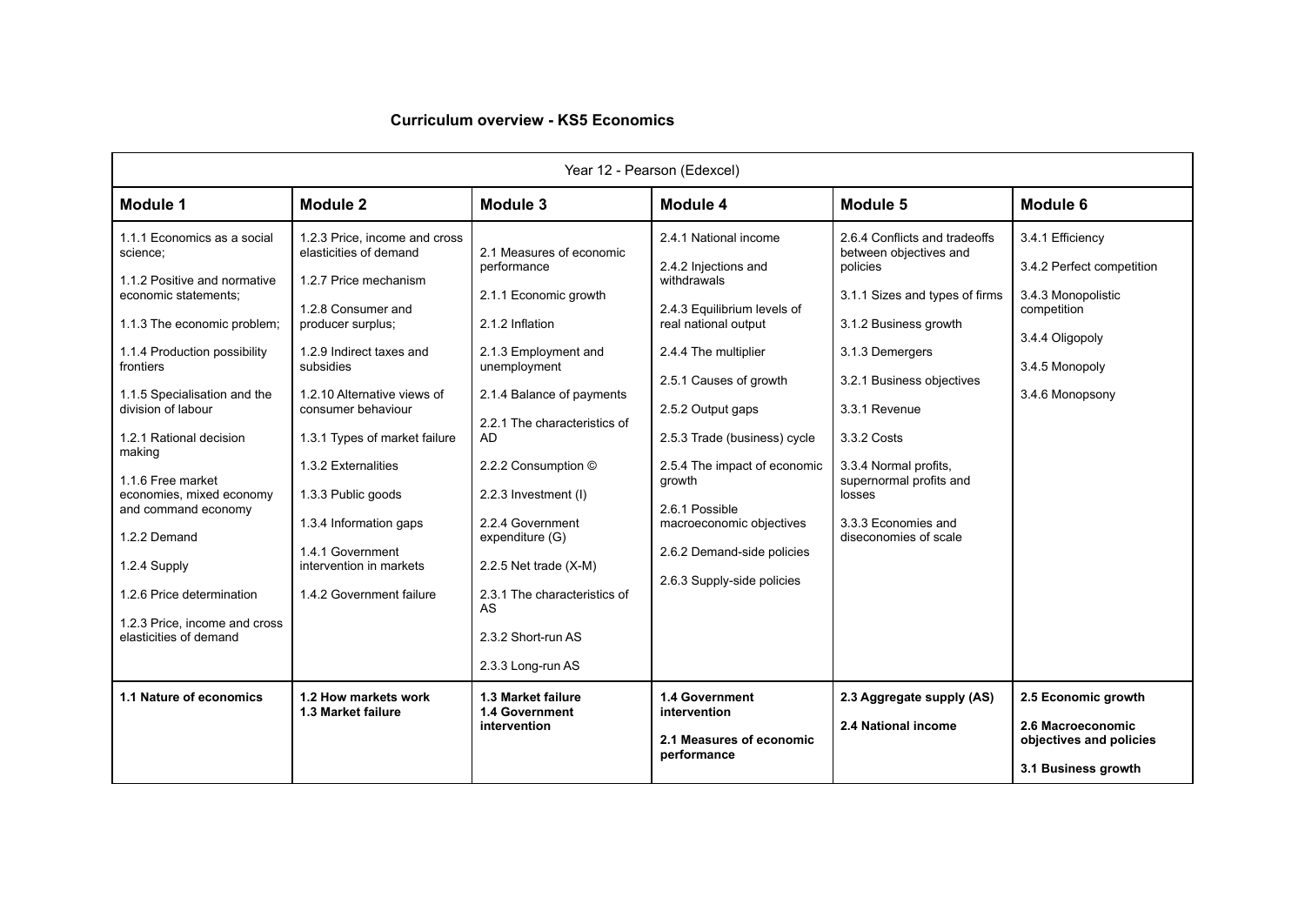## **Curriculum overview - KS5 Economics**

| Year 12 - Pearson (Edexcel)                                                                                                                                                                                                                                                                                                                                                                                                                                            |                                                                                                                                                                                                                                                                                                                                                                                                              |                                                                                                                                                                                                                                                                                                                                                                                                         |                                                                                                                                                                                                                                                                                                                                                                                |                                                                                                                                                                                                                                                                                                                              |                                                                                                                                            |  |  |  |
|------------------------------------------------------------------------------------------------------------------------------------------------------------------------------------------------------------------------------------------------------------------------------------------------------------------------------------------------------------------------------------------------------------------------------------------------------------------------|--------------------------------------------------------------------------------------------------------------------------------------------------------------------------------------------------------------------------------------------------------------------------------------------------------------------------------------------------------------------------------------------------------------|---------------------------------------------------------------------------------------------------------------------------------------------------------------------------------------------------------------------------------------------------------------------------------------------------------------------------------------------------------------------------------------------------------|--------------------------------------------------------------------------------------------------------------------------------------------------------------------------------------------------------------------------------------------------------------------------------------------------------------------------------------------------------------------------------|------------------------------------------------------------------------------------------------------------------------------------------------------------------------------------------------------------------------------------------------------------------------------------------------------------------------------|--------------------------------------------------------------------------------------------------------------------------------------------|--|--|--|
| Module 1                                                                                                                                                                                                                                                                                                                                                                                                                                                               | Module 2                                                                                                                                                                                                                                                                                                                                                                                                     | Module 3                                                                                                                                                                                                                                                                                                                                                                                                | Module 4                                                                                                                                                                                                                                                                                                                                                                       | Module 5                                                                                                                                                                                                                                                                                                                     | Module 6                                                                                                                                   |  |  |  |
| 1.1.1 Economics as a social<br>science;<br>1.1.2 Positive and normative<br>economic statements:<br>1.1.3 The economic problem;<br>1.1.4 Production possibility<br>frontiers<br>1.1.5 Specialisation and the<br>division of labour<br>1.2.1 Rational decision<br>making<br>1.1.6 Free market<br>economies, mixed economy<br>and command economy<br>1.2.2 Demand<br>1.2.4 Supply<br>1.2.6 Price determination<br>1.2.3 Price, income and cross<br>elasticities of demand | 1.2.3 Price, income and cross<br>elasticities of demand<br>1.2.7 Price mechanism<br>1.2.8 Consumer and<br>producer surplus;<br>1.2.9 Indirect taxes and<br>subsidies<br>1.2.10 Alternative views of<br>consumer behaviour<br>1.3.1 Types of market failure<br>1.3.2 Externalities<br>1.3.3 Public goods<br>1.3.4 Information gaps<br>1.4.1 Government<br>intervention in markets<br>1.4.2 Government failure | 2.1 Measures of economic<br>performance<br>2.1.1 Economic growth<br>2.1.2 Inflation<br>2.1.3 Employment and<br>unemployment<br>2.1.4 Balance of payments<br>2.2.1 The characteristics of<br><b>AD</b><br>2.2.2 Consumption ©<br>2.2.3 Investment (I)<br>2.2.4 Government<br>expenditure (G)<br>2.2.5 Net trade $(X-M)$<br>2.3.1 The characteristics of<br>AS<br>2.3.2 Short-run AS<br>2.3.3 Long-run AS | 2.4.1 National income<br>2.4.2 Injections and<br>withdrawals<br>2.4.3 Equilibrium levels of<br>real national output<br>2.4.4 The multiplier<br>2.5.1 Causes of growth<br>2.5.2 Output gaps<br>2.5.3 Trade (business) cycle<br>2.5.4 The impact of economic<br>growth<br>2.6.1 Possible<br>macroeconomic objectives<br>2.6.2 Demand-side policies<br>2.6.3 Supply-side policies | 2.6.4 Conflicts and tradeoffs<br>between objectives and<br>policies<br>3.1.1 Sizes and types of firms<br>3.1.2 Business growth<br>3.1.3 Demergers<br>3.2.1 Business objectives<br>3.3.1 Revenue<br>3.3.2 Costs<br>3.3.4 Normal profits,<br>supernormal profits and<br>losses<br>3.3.3 Economies and<br>diseconomies of scale | 3.4.1 Efficiency<br>3.4.2 Perfect competition<br>3.4.3 Monopolistic<br>competition<br>3.4.4 Oligopoly<br>3.4.5 Monopoly<br>3.4.6 Monopsony |  |  |  |
| 1.1 Nature of economics                                                                                                                                                                                                                                                                                                                                                                                                                                                | 1.2 How markets work<br>1.3 Market failure                                                                                                                                                                                                                                                                                                                                                                   | 1.3 Market failure<br>1.4 Government<br>intervention                                                                                                                                                                                                                                                                                                                                                    | 1.4 Government<br>intervention<br>2.1 Measures of economic<br>performance                                                                                                                                                                                                                                                                                                      | 2.3 Aggregate supply (AS)<br>2.4 National income                                                                                                                                                                                                                                                                             | 2.5 Economic growth<br>2.6 Macroeconomic<br>objectives and policies<br>3.1 Business growth                                                 |  |  |  |